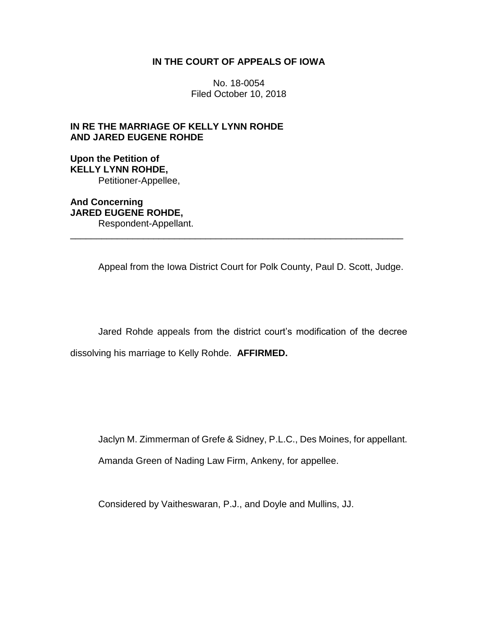## **IN THE COURT OF APPEALS OF IOWA**

No. 18-0054 Filed October 10, 2018

# **IN RE THE MARRIAGE OF KELLY LYNN ROHDE AND JARED EUGENE ROHDE**

**Upon the Petition of KELLY LYNN ROHDE,** Petitioner-Appellee,

**And Concerning JARED EUGENE ROHDE,** Respondent-Appellant.

Appeal from the Iowa District Court for Polk County, Paul D. Scott, Judge.

\_\_\_\_\_\_\_\_\_\_\_\_\_\_\_\_\_\_\_\_\_\_\_\_\_\_\_\_\_\_\_\_\_\_\_\_\_\_\_\_\_\_\_\_\_\_\_\_\_\_\_\_\_\_\_\_\_\_\_\_\_\_\_\_

Jared Rohde appeals from the district court's modification of the decree dissolving his marriage to Kelly Rohde. **AFFIRMED.**

Jaclyn M. Zimmerman of Grefe & Sidney, P.L.C., Des Moines, for appellant.

Amanda Green of Nading Law Firm, Ankeny, for appellee.

Considered by Vaitheswaran, P.J., and Doyle and Mullins, JJ.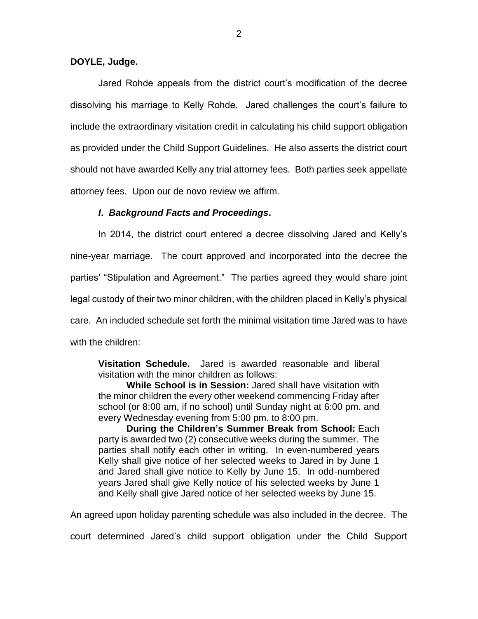### **DOYLE, Judge.**

Jared Rohde appeals from the district court's modification of the decree dissolving his marriage to Kelly Rohde. Jared challenges the court's failure to include the extraordinary visitation credit in calculating his child support obligation as provided under the Child Support Guidelines. He also asserts the district court should not have awarded Kelly any trial attorney fees. Both parties seek appellate attorney fees. Upon our de novo review we affirm.

### *I***.** *Background Facts and Proceedings***.**

In 2014, the district court entered a decree dissolving Jared and Kelly's nine-year marriage. The court approved and incorporated into the decree the parties' "Stipulation and Agreement." The parties agreed they would share joint legal custody of their two minor children, with the children placed in Kelly's physical care. An included schedule set forth the minimal visitation time Jared was to have with the children:

**Visitation Schedule.** Jared is awarded reasonable and liberal visitation with the minor children as follows:

**While School is in Session:** Jared shall have visitation with the minor children the every other weekend commencing Friday after school (or 8:00 am, if no school) until Sunday night at 6:00 pm. and every Wednesday evening from 5:00 pm. to 8:00 pm.

**During the Children's Summer Break from School:** Each party is awarded two (2) consecutive weeks during the summer. The parties shall notify each other in writing. In even-numbered years Kelly shall give notice of her selected weeks to Jared in by June 1 and Jared shall give notice to Kelly by June 15. In odd-numbered years Jared shall give Kelly notice of his selected weeks by June 1 and Kelly shall give Jared notice of her selected weeks by June 15.

An agreed upon holiday parenting schedule was also included in the decree. The

court determined Jared's child support obligation under the Child Support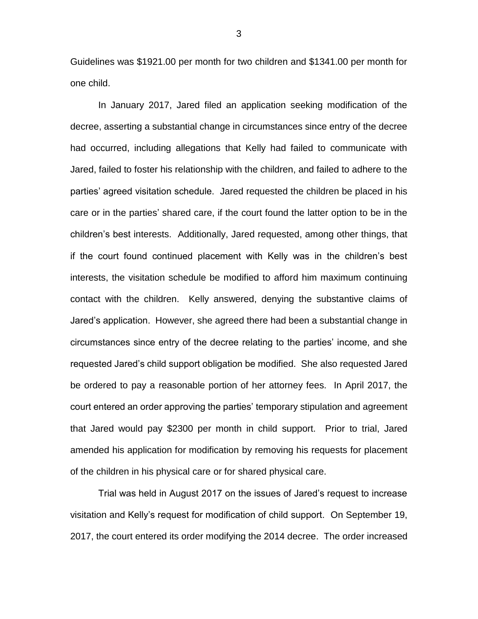Guidelines was \$1921.00 per month for two children and \$1341.00 per month for one child.

In January 2017, Jared filed an application seeking modification of the decree, asserting a substantial change in circumstances since entry of the decree had occurred, including allegations that Kelly had failed to communicate with Jared, failed to foster his relationship with the children, and failed to adhere to the parties' agreed visitation schedule. Jared requested the children be placed in his care or in the parties' shared care, if the court found the latter option to be in the children's best interests. Additionally, Jared requested, among other things, that if the court found continued placement with Kelly was in the children's best interests, the visitation schedule be modified to afford him maximum continuing contact with the children. Kelly answered, denying the substantive claims of Jared's application. However, she agreed there had been a substantial change in circumstances since entry of the decree relating to the parties' income, and she requested Jared's child support obligation be modified. She also requested Jared be ordered to pay a reasonable portion of her attorney fees. In April 2017, the court entered an order approving the parties' temporary stipulation and agreement that Jared would pay \$2300 per month in child support. Prior to trial, Jared amended his application for modification by removing his requests for placement of the children in his physical care or for shared physical care.

Trial was held in August 2017 on the issues of Jared's request to increase visitation and Kelly's request for modification of child support. On September 19, 2017, the court entered its order modifying the 2014 decree. The order increased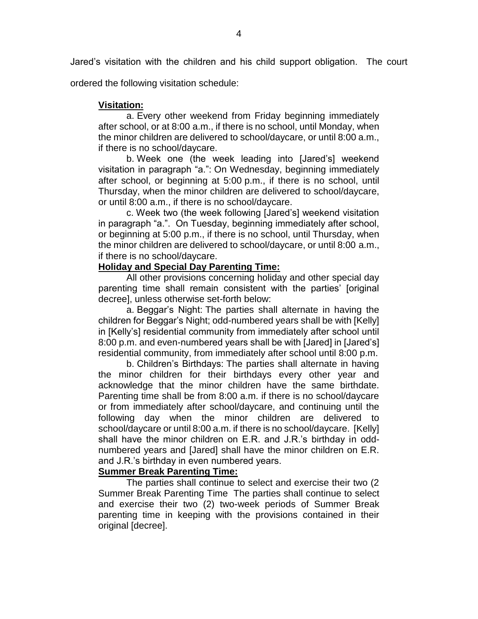Jared's visitation with the children and his child support obligation. The court

ordered the following visitation schedule:

# **Visitation:**

a. Every other weekend from Friday beginning immediately after school, or at 8:00 a.m., if there is no school, until Monday, when the minor children are delivered to school/daycare, or until 8:00 a.m., if there is no school/daycare.

b. Week one (the week leading into [Jared's] weekend visitation in paragraph "a.": On Wednesday, beginning immediately after school, or beginning at 5:00 p.m., if there is no school, until Thursday, when the minor children are delivered to school/daycare, or until 8:00 a.m., if there is no school/daycare.

c. Week two (the week following [Jared's] weekend visitation in paragraph "a.". On Tuesday, beginning immediately after school, or beginning at 5:00 p.m., if there is no school, until Thursday, when the minor children are delivered to school/daycare, or until 8:00 a.m., if there is no school/daycare.

## **Holiday and Special Day Parenting Time:**

All other provisions concerning holiday and other special day parenting time shall remain consistent with the parties' [original decree], unless otherwise set-forth below:

a. Beggar's Night: The parties shall alternate in having the children for Beggar's Night; odd-numbered years shall be with [Kelly] in [Kelly's] residential community from immediately after school until 8:00 p.m. and even-numbered years shall be with [Jared] in [Jared's] residential community, from immediately after school until 8:00 p.m.

b. Children's Birthdays: The parties shall alternate in having the minor children for their birthdays every other year and acknowledge that the minor children have the same birthdate. Parenting time shall be from 8:00 a.m. if there is no school/daycare or from immediately after school/daycare, and continuing until the following day when the minor children are delivered to school/daycare or until 8:00 a.m. if there is no school/daycare. [Kelly] shall have the minor children on E.R. and J.R.'s birthday in oddnumbered years and [Jared] shall have the minor children on E.R. and J.R.'s birthday in even numbered years.

# **Summer Break Parenting Time:**

The parties shall continue to select and exercise their two (2 Summer Break Parenting Time The parties shall continue to select and exercise their two (2) two-week periods of Summer Break parenting time in keeping with the provisions contained in their original [decree].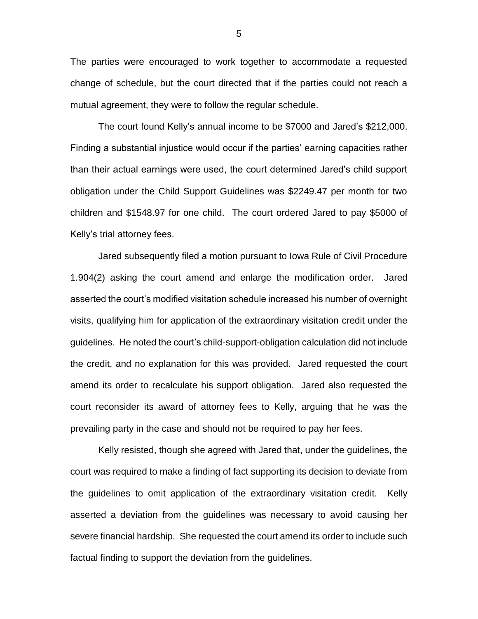The parties were encouraged to work together to accommodate a requested change of schedule, but the court directed that if the parties could not reach a mutual agreement, they were to follow the regular schedule.

The court found Kelly's annual income to be \$7000 and Jared's \$212,000. Finding a substantial injustice would occur if the parties' earning capacities rather than their actual earnings were used, the court determined Jared's child support obligation under the Child Support Guidelines was \$2249.47 per month for two children and \$1548.97 for one child. The court ordered Jared to pay \$5000 of Kelly's trial attorney fees.

Jared subsequently filed a motion pursuant to Iowa Rule of Civil Procedure 1.904(2) asking the court amend and enlarge the modification order. Jared asserted the court's modified visitation schedule increased his number of overnight visits, qualifying him for application of the extraordinary visitation credit under the guidelines. He noted the court's child-support-obligation calculation did not include the credit, and no explanation for this was provided. Jared requested the court amend its order to recalculate his support obligation. Jared also requested the court reconsider its award of attorney fees to Kelly, arguing that he was the prevailing party in the case and should not be required to pay her fees.

Kelly resisted, though she agreed with Jared that, under the guidelines, the court was required to make a finding of fact supporting its decision to deviate from the guidelines to omit application of the extraordinary visitation credit. Kelly asserted a deviation from the guidelines was necessary to avoid causing her severe financial hardship. She requested the court amend its order to include such factual finding to support the deviation from the guidelines.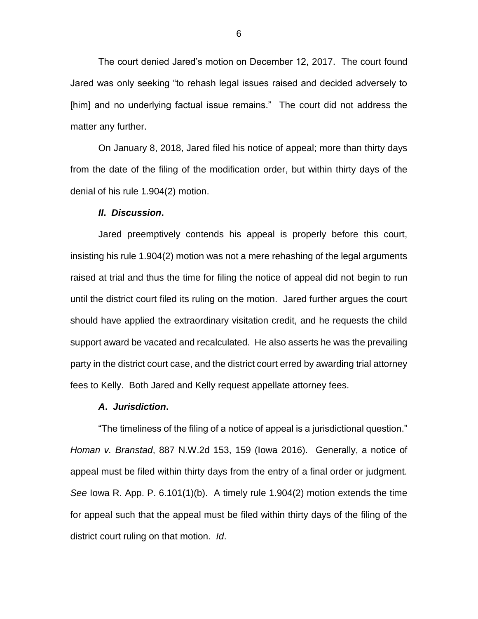The court denied Jared's motion on December 12, 2017. The court found Jared was only seeking "to rehash legal issues raised and decided adversely to [him] and no underlying factual issue remains." The court did not address the matter any further.

On January 8, 2018, Jared filed his notice of appeal; more than thirty days from the date of the filing of the modification order, but within thirty days of the denial of his rule 1.904(2) motion.

#### *II***.** *Discussion***.**

Jared preemptively contends his appeal is properly before this court, insisting his rule 1.904(2) motion was not a mere rehashing of the legal arguments raised at trial and thus the time for filing the notice of appeal did not begin to run until the district court filed its ruling on the motion. Jared further argues the court should have applied the extraordinary visitation credit, and he requests the child support award be vacated and recalculated. He also asserts he was the prevailing party in the district court case, and the district court erred by awarding trial attorney fees to Kelly. Both Jared and Kelly request appellate attorney fees.

#### *A***.** *Jurisdiction***.**

"The timeliness of the filing of a notice of appeal is a jurisdictional question." *Homan v. Branstad*, 887 N.W.2d 153, 159 (Iowa 2016). Generally, a notice of appeal must be filed within thirty days from the entry of a final order or judgment. *See* Iowa R. App. P. 6.101(1)(b). A timely rule 1.904(2) motion extends the time for appeal such that the appeal must be filed within thirty days of the filing of the district court ruling on that motion. *Id*.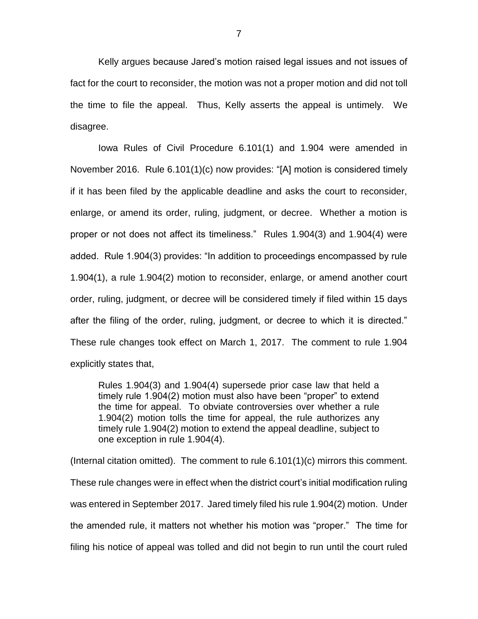Kelly argues because Jared's motion raised legal issues and not issues of fact for the court to reconsider, the motion was not a proper motion and did not toll the time to file the appeal. Thus, Kelly asserts the appeal is untimely. We disagree.

Iowa Rules of Civil Procedure 6.101(1) and 1.904 were amended in November 2016. Rule 6.101(1)(c) now provides: "[A] motion is considered timely if it has been filed by the applicable deadline and asks the court to reconsider, enlarge, or amend its order, ruling, judgment, or decree. Whether a motion is proper or not does not affect its timeliness." Rules 1.904(3) and 1.904(4) were added. Rule 1.904(3) provides: "In addition to proceedings encompassed by rule 1.904(1), a rule 1.904(2) motion to reconsider, enlarge, or amend another court order, ruling, judgment, or decree will be considered timely if filed within 15 days after the filing of the order, ruling, judgment, or decree to which it is directed." These rule changes took effect on March 1, 2017. The comment to rule 1.904 explicitly states that,

Rules 1.904(3) and 1.904(4) supersede prior case law that held a timely rule 1.904(2) motion must also have been "proper" to extend the time for appeal. To obviate controversies over whether a rule 1.904(2) motion tolls the time for appeal, the rule authorizes any timely rule 1.904(2) motion to extend the appeal deadline, subject to one exception in rule 1.904(4).

(Internal citation omitted). The comment to rule 6.101(1)(c) mirrors this comment. These rule changes were in effect when the district court's initial modification ruling was entered in September 2017. Jared timely filed his rule 1.904(2) motion. Under the amended rule, it matters not whether his motion was "proper." The time for filing his notice of appeal was tolled and did not begin to run until the court ruled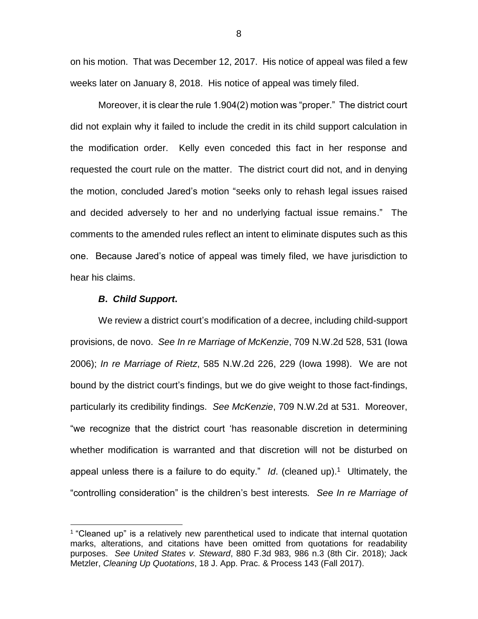on his motion. That was December 12, 2017. His notice of appeal was filed a few weeks later on January 8, 2018. His notice of appeal was timely filed.

Moreover, it is clear the rule 1.904(2) motion was "proper." The district court did not explain why it failed to include the credit in its child support calculation in the modification order. Kelly even conceded this fact in her response and requested the court rule on the matter. The district court did not, and in denying the motion, concluded Jared's motion "seeks only to rehash legal issues raised and decided adversely to her and no underlying factual issue remains." The comments to the amended rules reflect an intent to eliminate disputes such as this one. Because Jared's notice of appeal was timely filed, we have jurisdiction to hear his claims.

#### *B***.** *Child Support***.**

 $\overline{a}$ 

We review a district court's modification of a decree, including child-support provisions, de novo. *See In re Marriage of McKenzie*, 709 N.W.2d 528, 531 (Iowa 2006); *In re Marriage of Rietz*, 585 N.W.2d 226, 229 (Iowa 1998). We are not bound by the district court's findings, but we do give weight to those fact-findings, particularly its credibility findings. *See McKenzie*, 709 N.W.2d at 531. Moreover, "we recognize that the district court 'has reasonable discretion in determining whether modification is warranted and that discretion will not be disturbed on appeal unless there is a failure to do equity." Id. (cleaned up).<sup>1</sup> Ultimately, the "controlling consideration" is the children's best interests*. See In re Marriage of* 

<sup>&</sup>lt;sup>1</sup> "Cleaned up" is a relatively new parenthetical used to indicate that internal quotation marks, alterations, and citations have been omitted from quotations for readability purposes. *See United States v. Steward*, 880 F.3d 983, 986 n.3 (8th Cir. 2018); Jack Metzler, *Cleaning Up Quotations*, 18 J. App. Prac. & Process 143 (Fall 2017).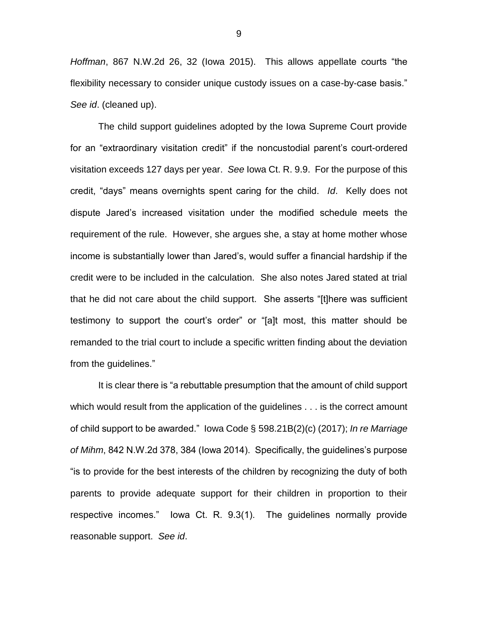*Hoffman*, 867 N.W.2d 26, 32 (Iowa 2015). This allows appellate courts "the flexibility necessary to consider unique custody issues on a case-by-case basis." *See id*. (cleaned up).

The child support guidelines adopted by the Iowa Supreme Court provide for an "extraordinary visitation credit" if the noncustodial parent's court-ordered visitation exceeds 127 days per year. *See* Iowa Ct. R. 9.9. For the purpose of this credit, "days" means overnights spent caring for the child. *Id*. Kelly does not dispute Jared's increased visitation under the modified schedule meets the requirement of the rule. However, she argues she, a stay at home mother whose income is substantially lower than Jared's, would suffer a financial hardship if the credit were to be included in the calculation. She also notes Jared stated at trial that he did not care about the child support. She asserts "[t]here was sufficient testimony to support the court's order" or "[a]t most, this matter should be remanded to the trial court to include a specific written finding about the deviation from the guidelines."

It is clear there is "a rebuttable presumption that the amount of child support which would result from the application of the guidelines . . . is the correct amount of child support to be awarded." Iowa Code § 598.21B(2)(c) (2017); *In re Marriage of Mihm*, 842 N.W.2d 378, 384 (Iowa 2014). Specifically, the guidelines's purpose "is to provide for the best interests of the children by recognizing the duty of both parents to provide adequate support for their children in proportion to their respective incomes." Iowa Ct. R. 9.3(1). The guidelines normally provide reasonable support. *See id*.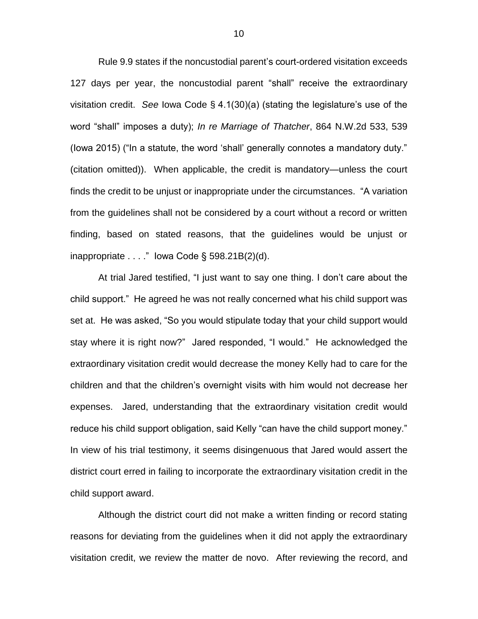Rule 9.9 states if the noncustodial parent's court-ordered visitation exceeds 127 days per year, the noncustodial parent "shall" receive the extraordinary visitation credit. *See* Iowa Code § 4.1(30)(a) (stating the legislature's use of the word "shall" imposes a duty); *In re Marriage of Thatcher*, 864 N.W.2d 533, 539 (Iowa 2015) ("In a statute, the word 'shall' generally connotes a mandatory duty." (citation omitted)). When applicable, the credit is mandatory—unless the court finds the credit to be unjust or inappropriate under the circumstances. "A variation from the guidelines shall not be considered by a court without a record or written finding, based on stated reasons, that the guidelines would be unjust or inappropriate  $\dots$  " lowa Code § 598.21B(2)(d).

At trial Jared testified, "I just want to say one thing. I don't care about the child support." He agreed he was not really concerned what his child support was set at. He was asked, "So you would stipulate today that your child support would stay where it is right now?" Jared responded, "I would." He acknowledged the extraordinary visitation credit would decrease the money Kelly had to care for the children and that the children's overnight visits with him would not decrease her expenses. Jared, understanding that the extraordinary visitation credit would reduce his child support obligation, said Kelly "can have the child support money." In view of his trial testimony, it seems disingenuous that Jared would assert the district court erred in failing to incorporate the extraordinary visitation credit in the child support award.

Although the district court did not make a written finding or record stating reasons for deviating from the guidelines when it did not apply the extraordinary visitation credit, we review the matter de novo. After reviewing the record, and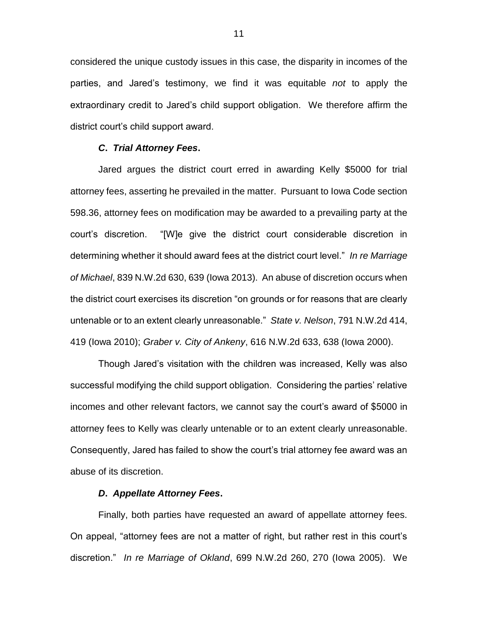considered the unique custody issues in this case, the disparity in incomes of the parties, and Jared's testimony, we find it was equitable *not* to apply the extraordinary credit to Jared's child support obligation. We therefore affirm the district court's child support award.

### *C***.** *Trial Attorney Fees***.**

Jared argues the district court erred in awarding Kelly \$5000 for trial attorney fees, asserting he prevailed in the matter. Pursuant to Iowa Code section 598.36, attorney fees on modification may be awarded to a prevailing party at the court's discretion. "[W]e give the district court considerable discretion in determining whether it should award fees at the district court level." *In re Marriage of Michael*, 839 N.W.2d 630, 639 (Iowa 2013). An abuse of discretion occurs when the district court exercises its discretion "on grounds or for reasons that are clearly untenable or to an extent clearly unreasonable." *State v. Nelson*, 791 N.W.2d 414, 419 (Iowa 2010); *Graber v. City of Ankeny*, 616 N.W.2d 633, 638 (Iowa 2000).

Though Jared's visitation with the children was increased, Kelly was also successful modifying the child support obligation. Considering the parties' relative incomes and other relevant factors, we cannot say the court's award of \$5000 in attorney fees to Kelly was clearly untenable or to an extent clearly unreasonable. Consequently, Jared has failed to show the court's trial attorney fee award was an abuse of its discretion.

#### *D***.** *Appellate Attorney Fees***.**

Finally, both parties have requested an award of appellate attorney fees. On appeal, "attorney fees are not a matter of right, but rather rest in this court's discretion." *In re Marriage of Okland*, 699 N.W.2d 260, 270 (Iowa 2005). We